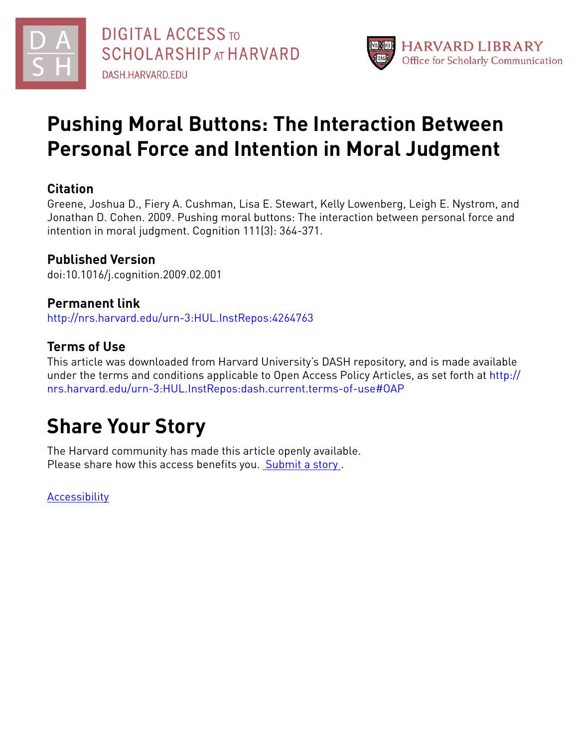



## **Pushing Moral Buttons: The Interaction Between Personal Force and Intention in Moral Judgment**

## **Citation**

Greene, Joshua D., Fiery A. Cushman, Lisa E. Stewart, Kelly Lowenberg, Leigh E. Nystrom, and Jonathan D. Cohen. 2009. Pushing moral buttons: The interaction between personal force and intention in moral judgment. Cognition 111(3): 364-371.

## **Published Version**

doi:10.1016/j.cognition.2009.02.001

## **Permanent link**

<http://nrs.harvard.edu/urn-3:HUL.InstRepos:4264763>

## **Terms of Use**

This article was downloaded from Harvard University's DASH repository, and is made available under the terms and conditions applicable to Open Access Policy Articles, as set forth at [http://](http://nrs.harvard.edu/urn-3:HUL.InstRepos:dash.current.terms-of-use#OAP) [nrs.harvard.edu/urn-3:HUL.InstRepos:dash.current.terms-of-use#OAP](http://nrs.harvard.edu/urn-3:HUL.InstRepos:dash.current.terms-of-use#OAP)

# **Share Your Story**

The Harvard community has made this article openly available. Please share how this access benefits you. [Submit](http://osc.hul.harvard.edu/dash/open-access-feedback?handle=&title=Pushing%20Moral%20Buttons:%20The%20Interaction%20Between%20Personal%20Force%20and%20Intention%20in%20Moral%20Judgment&community=1/1&collection=1/2&owningCollection1/2&harvardAuthors=fb3cb3a63bf9121bcaa8be79c9fbe694&departmentPsychology) a story .

**[Accessibility](https://dash.harvard.edu/pages/accessibility)**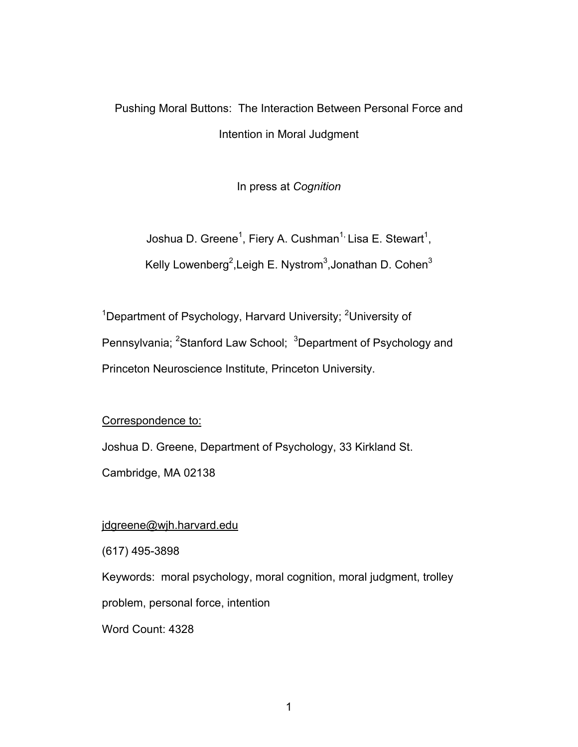## Pushing Moral Buttons: The Interaction Between Personal Force and Intention in Moral Judgment

In press at *Cognition*

Joshua D. Greene<sup>1</sup>, Fiery A. Cushman<sup>1,</sup> Lisa E. Stewart<sup>1</sup>,

Kelly Lowenberg<sup>2</sup>, Leigh E. Nystrom<sup>3</sup>, Jonathan D. Cohen<sup>3</sup>

<sup>1</sup>Department of Psychology, Harvard University; <sup>2</sup>University of Pennsylvania; <sup>2</sup>Stanford Law School; <sup>3</sup>Department of Psychology and Princeton Neuroscience Institute, Princeton University.

Correspondence to:

Joshua D. Greene, Department of Psychology, 33 Kirkland St.

Cambridge, MA 02138

### jdgreene@wjh.harvard.edu

(617) 495-3898

Keywords: moral psychology, moral cognition, moral judgment, trolley

problem, personal force, intention

Word Count: 4328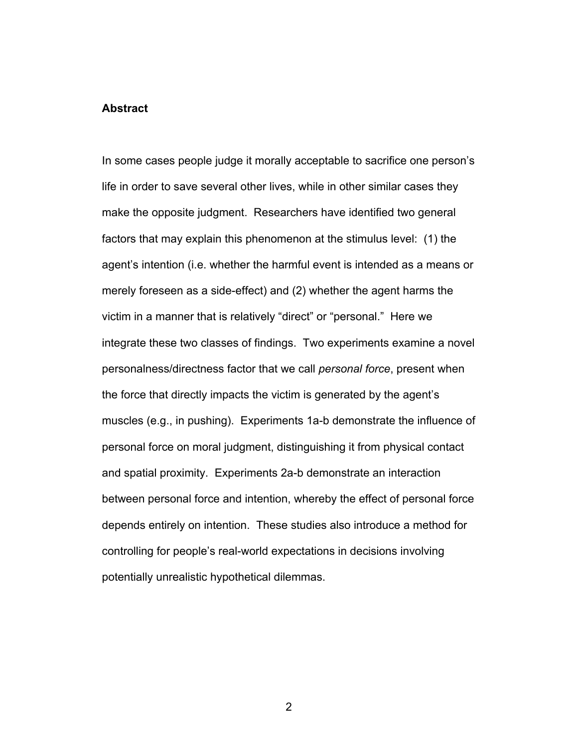#### **Abstract**

In some cases people judge it morally acceptable to sacrifice one person's life in order to save several other lives, while in other similar cases they make the opposite judgment. Researchers have identified two general factors that may explain this phenomenon at the stimulus level: (1) the agent's intention (i.e. whether the harmful event is intended as a means or merely foreseen as a side-effect) and (2) whether the agent harms the victim in a manner that is relatively "direct" or "personal." Here we integrate these two classes of findings. Two experiments examine a novel personalness/directness factor that we call *personal force*, present when the force that directly impacts the victim is generated by the agent's muscles (e.g., in pushing). Experiments 1a-b demonstrate the influence of personal force on moral judgment, distinguishing it from physical contact and spatial proximity. Experiments 2a-b demonstrate an interaction between personal force and intention, whereby the effect of personal force depends entirely on intention. These studies also introduce a method for controlling for people's real-world expectations in decisions involving potentially unrealistic hypothetical dilemmas.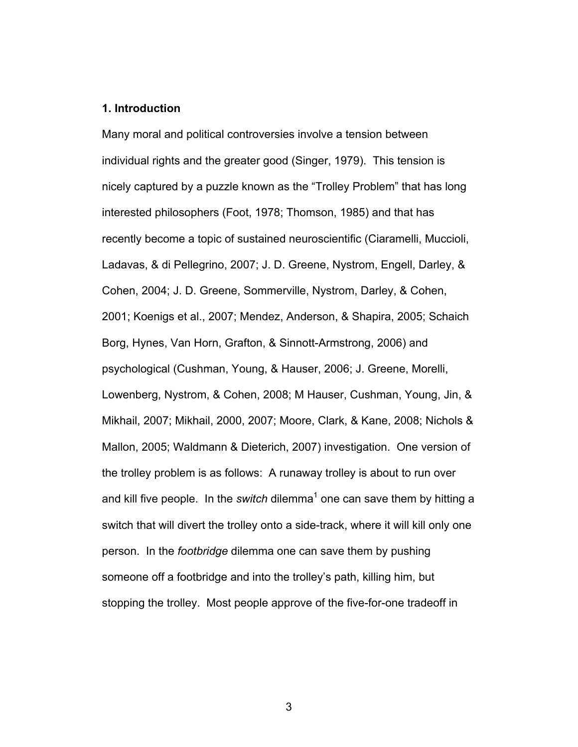#### **1. Introduction**

Many moral and political controversies involve a tension between individual rights and the greater good (Singer, 1979). This tension is nicely captured by a puzzle known as the "Trolley Problem" that has long interested philosophers (Foot, 1978; Thomson, 1985) and that has recently become a topic of sustained neuroscientific (Ciaramelli, Muccioli, Ladavas, & di Pellegrino, 2007; J. D. Greene, Nystrom, Engell, Darley, & Cohen, 2004; J. D. Greene, Sommerville, Nystrom, Darley, & Cohen, 2001; Koenigs et al., 2007; Mendez, Anderson, & Shapira, 2005; Schaich Borg, Hynes, Van Horn, Grafton, & Sinnott-Armstrong, 2006) and psychological (Cushman, Young, & Hauser, 2006; J. Greene, Morelli, Lowenberg, Nystrom, & Cohen, 2008; M Hauser, Cushman, Young, Jin, & Mikhail, 2007; Mikhail, 2000, 2007; Moore, Clark, & Kane, 2008; Nichols & Mallon, 2005; Waldmann & Dieterich, 2007) investigation. One version of the trolley problem is as follows: A runaway trolley is about to run over and kill five people. In the *switch* dilemma<sup>1</sup> one can save them by hitting a switch that will divert the trolley onto a side-track, where it will kill only one person. In the *footbridge* dilemma one can save them by pushing someone off a footbridge and into the trolley's path, killing him, but stopping the trolley. Most people approve of the five-for-one tradeoff in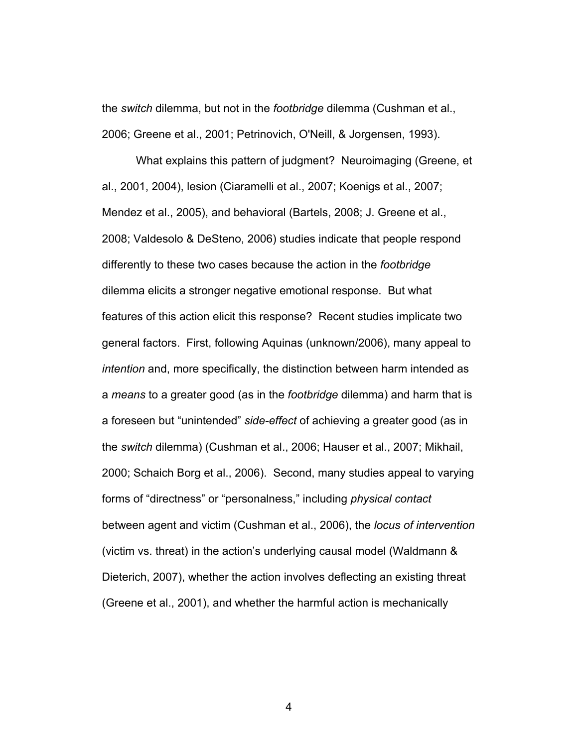the *switch* dilemma, but not in the *footbridge* dilemma (Cushman et al., 2006; Greene et al., 2001; Petrinovich, O'Neill, & Jorgensen, 1993).

What explains this pattern of judgment? Neuroimaging (Greene, et al., 2001, 2004), lesion (Ciaramelli et al., 2007; Koenigs et al., 2007; Mendez et al., 2005), and behavioral (Bartels, 2008; J. Greene et al., 2008; Valdesolo & DeSteno, 2006) studies indicate that people respond differently to these two cases because the action in the *footbridge* dilemma elicits a stronger negative emotional response. But what features of this action elicit this response? Recent studies implicate two general factors. First, following Aquinas (unknown/2006), many appeal to *intention* and, more specifically, the distinction between harm intended as a *means* to a greater good (as in the *footbridge* dilemma) and harm that is a foreseen but "unintended" *side-effect* of achieving a greater good (as in the *switch* dilemma) (Cushman et al., 2006; Hauser et al., 2007; Mikhail, 2000; Schaich Borg et al., 2006). Second, many studies appeal to varying forms of "directness" or "personalness," including *physical contact* between agent and victim (Cushman et al., 2006), the *locus of intervention* (victim vs. threat) in the action's underlying causal model (Waldmann & Dieterich, 2007), whether the action involves deflecting an existing threat (Greene et al., 2001), and whether the harmful action is mechanically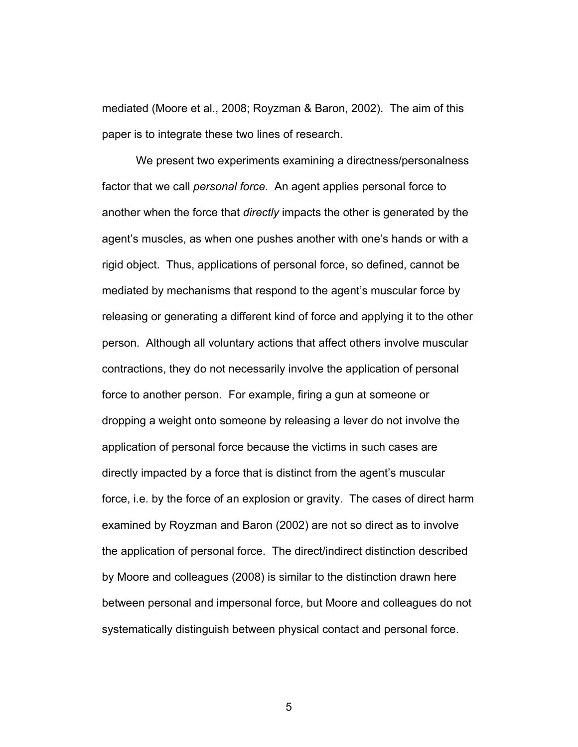mediated (Moore et al., 2008; Royzman & Baron, 2002). The aim of this paper is to integrate these two lines of research.

We present two experiments examining a directness/personalness factor that we call *personal force*. An agent applies personal force to another when the force that *directly* impacts the other is generated by the agent's muscles, as when one pushes another with one's hands or with a rigid object. Thus, applications of personal force, so defined, cannot be mediated by mechanisms that respond to the agent's muscular force by releasing or generating a different kind of force and applying it to the other person. Although all voluntary actions that affect others involve muscular contractions, they do not necessarily involve the application of personal force to another person. For example, firing a gun at someone or dropping a weight onto someone by releasing a lever do not involve the application of personal force because the victims in such cases are directly impacted by a force that is distinct from the agent's muscular force, i.e. by the force of an explosion or gravity. The cases of direct harm examined by Royzman and Baron (2002) are not so direct as to involve the application of personal force. The direct/indirect distinction described by Moore and colleagues (2008) is similar to the distinction drawn here between personal and impersonal force, but Moore and colleagues do not systematically distinguish between physical contact and personal force.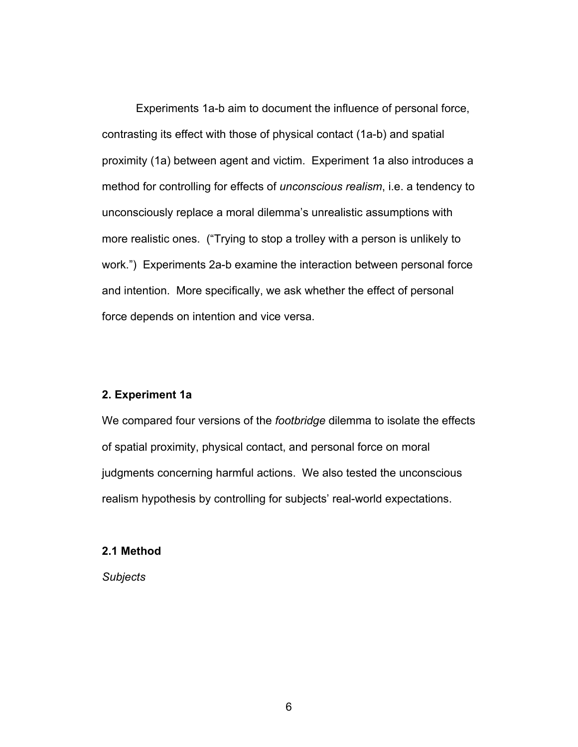Experiments 1a-b aim to document the influence of personal force, contrasting its effect with those of physical contact (1a-b) and spatial proximity (1a) between agent and victim. Experiment 1a also introduces a method for controlling for effects of *unconscious realism*, i.e. a tendency to unconsciously replace a moral dilemma's unrealistic assumptions with more realistic ones. ("Trying to stop a trolley with a person is unlikely to work.") Experiments 2a-b examine the interaction between personal force and intention. More specifically, we ask whether the effect of personal force depends on intention and vice versa.

#### **2. Experiment 1a**

We compared four versions of the *footbridge* dilemma to isolate the effects of spatial proximity, physical contact, and personal force on moral judgments concerning harmful actions. We also tested the unconscious realism hypothesis by controlling for subjects' real-world expectations.

#### **2.1 Method**

*Subjects*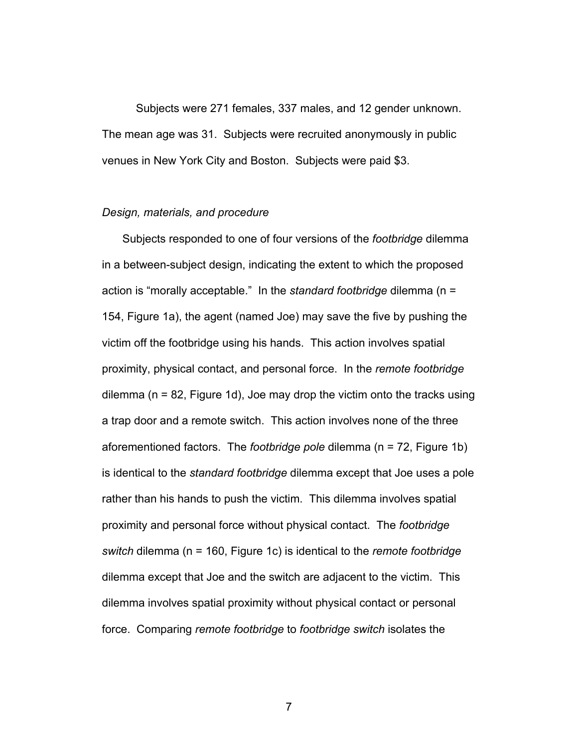Subjects were 271 females, 337 males, and 12 gender unknown. The mean age was 31. Subjects were recruited anonymously in public venues in New York City and Boston. Subjects were paid \$3.

#### *Design, materials, and procedure*

Subjects responded to one of four versions of the *footbridge* dilemma in a between-subject design, indicating the extent to which the proposed action is "morally acceptable." In the *standard footbridge* dilemma (n = 154, Figure 1a), the agent (named Joe) may save the five by pushing the victim off the footbridge using his hands. This action involves spatial proximity, physical contact, and personal force. In the *remote footbridge* dilemma (n = 82, Figure 1d), Joe may drop the victim onto the tracks using a trap door and a remote switch. This action involves none of the three aforementioned factors. The *footbridge pole* dilemma (n = 72, Figure 1b) is identical to the *standard footbridge* dilemma except that Joe uses a pole rather than his hands to push the victim. This dilemma involves spatial proximity and personal force without physical contact. The *footbridge switch* dilemma (n = 160, Figure 1c) is identical to the *remote footbridge* dilemma except that Joe and the switch are adjacent to the victim. This dilemma involves spatial proximity without physical contact or personal force. Comparing *remote footbridge* to *footbridge switch* isolates the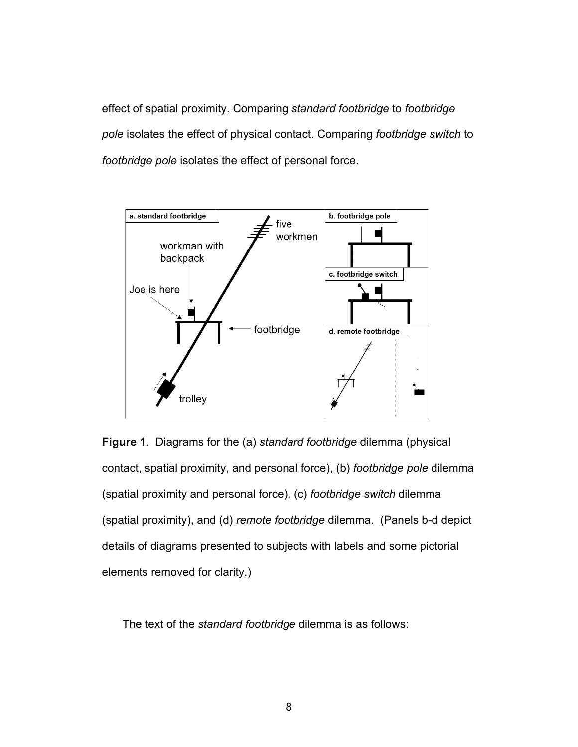effect of spatial proximity. Comparing *standard footbridge* to *footbridge pole* isolates the effect of physical contact. Comparing *footbridge switch* to *footbridge pole* isolates the effect of personal force.





The text of the *standard footbridge* dilemma is as follows: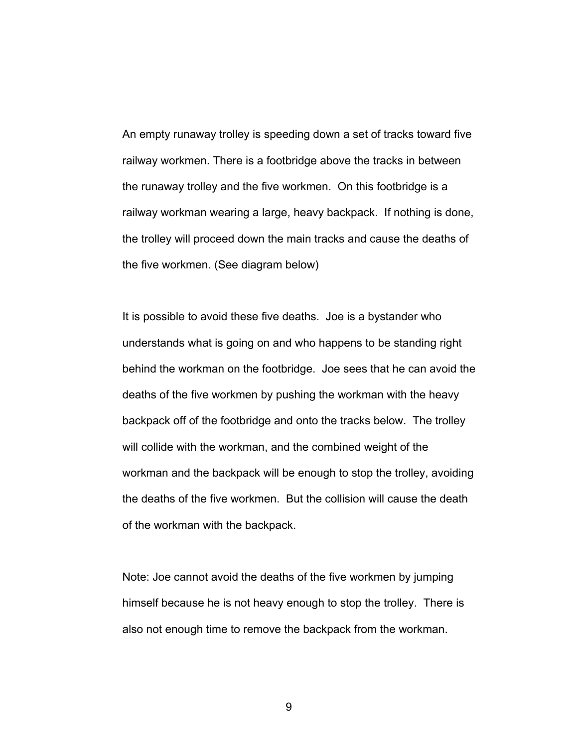An empty runaway trolley is speeding down a set of tracks toward five railway workmen. There is a footbridge above the tracks in between the runaway trolley and the five workmen. On this footbridge is a railway workman wearing a large, heavy backpack. If nothing is done, the trolley will proceed down the main tracks and cause the deaths of the five workmen. (See diagram below)

It is possible to avoid these five deaths. Joe is a bystander who understands what is going on and who happens to be standing right behind the workman on the footbridge. Joe sees that he can avoid the deaths of the five workmen by pushing the workman with the heavy backpack off of the footbridge and onto the tracks below. The trolley will collide with the workman, and the combined weight of the workman and the backpack will be enough to stop the trolley, avoiding the deaths of the five workmen. But the collision will cause the death of the workman with the backpack.

Note: Joe cannot avoid the deaths of the five workmen by jumping himself because he is not heavy enough to stop the trolley. There is also not enough time to remove the backpack from the workman.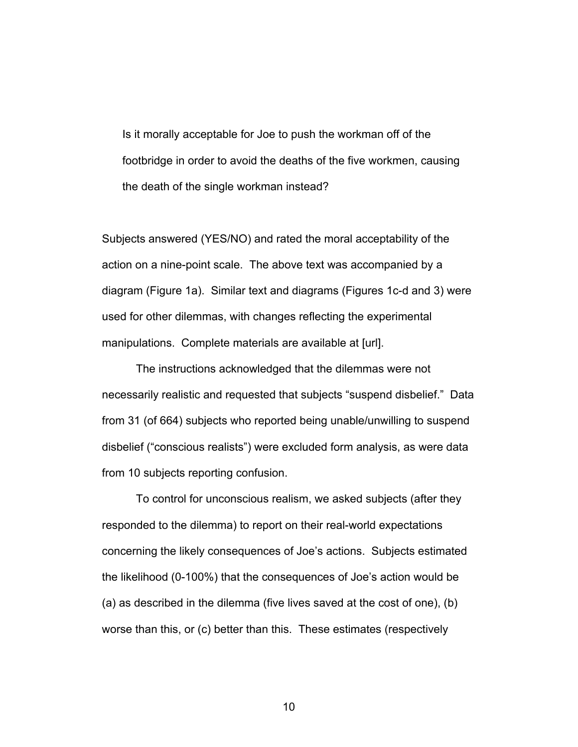Is it morally acceptable for Joe to push the workman off of the footbridge in order to avoid the deaths of the five workmen, causing the death of the single workman instead?

Subjects answered (YES/NO) and rated the moral acceptability of the action on a nine-point scale. The above text was accompanied by a diagram (Figure 1a). Similar text and diagrams (Figures 1c-d and 3) were used for other dilemmas, with changes reflecting the experimental manipulations. Complete materials are available at [url].

The instructions acknowledged that the dilemmas were not necessarily realistic and requested that subjects "suspend disbelief." Data from 31 (of 664) subjects who reported being unable/unwilling to suspend disbelief ("conscious realists") were excluded form analysis, as were data from 10 subjects reporting confusion.

To control for unconscious realism, we asked subjects (after they responded to the dilemma) to report on their real-world expectations concerning the likely consequences of Joe's actions. Subjects estimated the likelihood (0-100%) that the consequences of Joe's action would be (a) as described in the dilemma (five lives saved at the cost of one), (b) worse than this, or (c) better than this. These estimates (respectively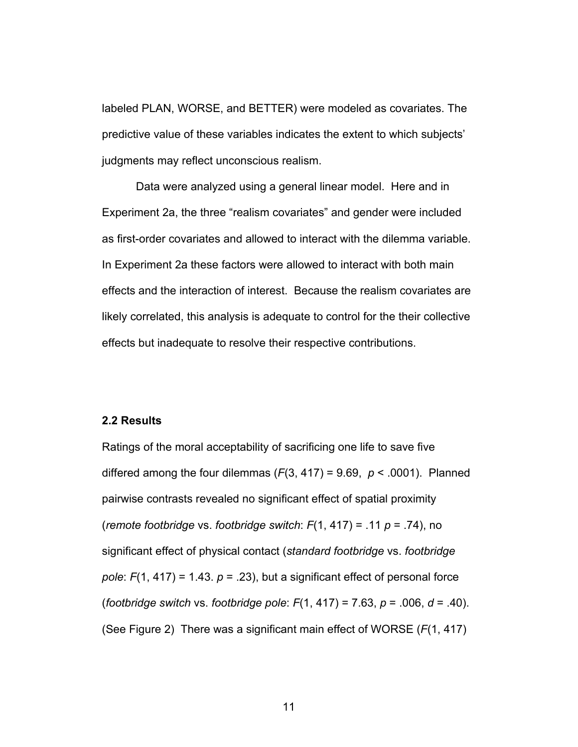labeled PLAN, WORSE, and BETTER) were modeled as covariates. The predictive value of these variables indicates the extent to which subjects' judgments may reflect unconscious realism.

Data were analyzed using a general linear model. Here and in Experiment 2a, the three "realism covariates" and gender were included as first-order covariates and allowed to interact with the dilemma variable. In Experiment 2a these factors were allowed to interact with both main effects and the interaction of interest. Because the realism covariates are likely correlated, this analysis is adequate to control for the their collective effects but inadequate to resolve their respective contributions.

#### **2.2 Results**

Ratings of the moral acceptability of sacrificing one life to save five differed among the four dilemmas  $(F(3, 417) = 9.69, p < .0001)$ . Planned pairwise contrasts revealed no significant effect of spatial proximity (*remote footbridge* vs. *footbridge switch*: *F*(1, 417) = .11 *p* = .74), no significant effect of physical contact (*standard footbridge* vs. *footbridge pole*:  $F(1, 417) = 1.43$ .  $p = .23$ , but a significant effect of personal force (*footbridge switch* vs. *footbridge pole*: *F*(1, 417) = 7.63, *p* = .006, *d* = .40). (See Figure 2) There was a significant main effect of WORSE (*F*(1, 417)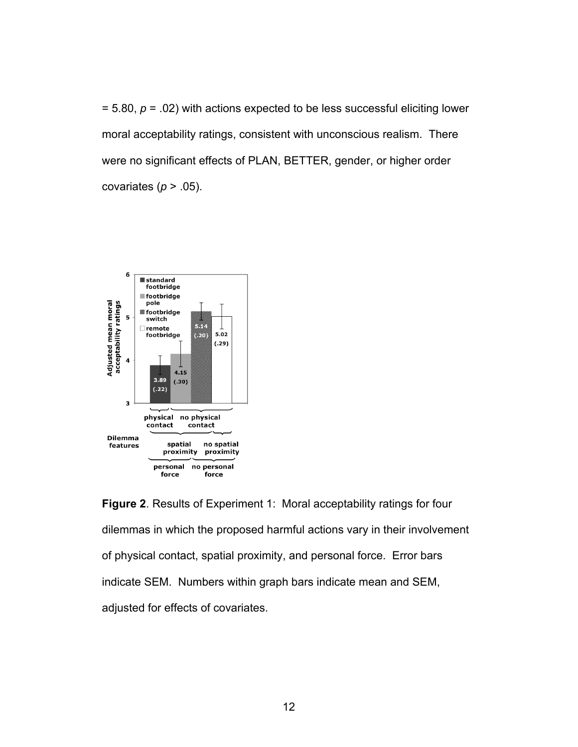= 5.80, *p* = .02) with actions expected to be less successful eliciting lower moral acceptability ratings, consistent with unconscious realism. There were no significant effects of PLAN, BETTER, gender, or higher order covariates ( $p > .05$ ).



**Figure 2**. Results of Experiment 1: Moral acceptability ratings for four dilemmas in which the proposed harmful actions vary in their involvement of physical contact, spatial proximity, and personal force. Error bars indicate SEM. Numbers within graph bars indicate mean and SEM, adjusted for effects of covariates.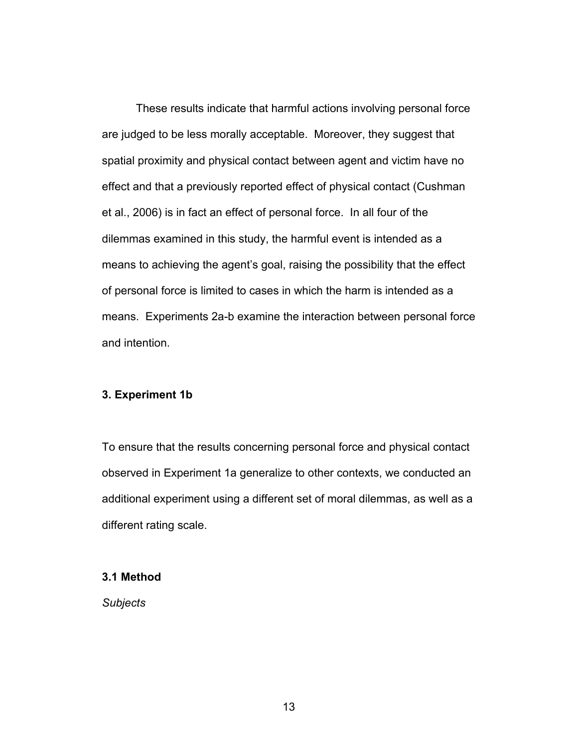These results indicate that harmful actions involving personal force are judged to be less morally acceptable. Moreover, they suggest that spatial proximity and physical contact between agent and victim have no effect and that a previously reported effect of physical contact (Cushman et al., 2006) is in fact an effect of personal force. In all four of the dilemmas examined in this study, the harmful event is intended as a means to achieving the agent's goal, raising the possibility that the effect of personal force is limited to cases in which the harm is intended as a means. Experiments 2a-b examine the interaction between personal force and intention.

#### **3. Experiment 1b**

To ensure that the results concerning personal force and physical contact observed in Experiment 1a generalize to other contexts, we conducted an additional experiment using a different set of moral dilemmas, as well as a different rating scale.

#### **3.1 Method**

*Subjects*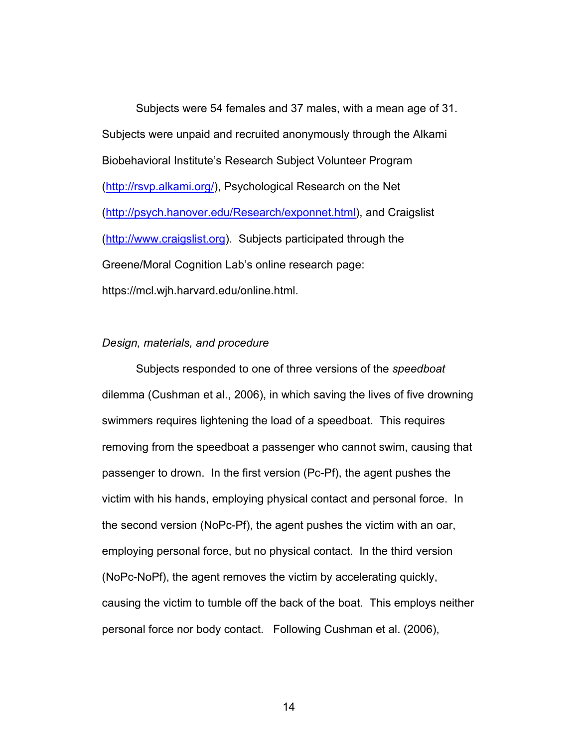Subjects were 54 females and 37 males, with a mean age of 31. Subjects were unpaid and recruited anonymously through the Alkami Biobehavioral Institute's Research Subject Volunteer Program (http://rsvp.alkami.org/), Psychological Research on the Net (http://psych.hanover.edu/Research/exponnet.html), and Craigslist (http://www.craigslist.org). Subjects participated through the Greene/Moral Cognition Lab's online research page: https://mcl.wjh.harvard.edu/online.html.

#### *Design, materials, and procedure*

Subjects responded to one of three versions of the *speedboat* dilemma (Cushman et al., 2006), in which saving the lives of five drowning swimmers requires lightening the load of a speedboat. This requires removing from the speedboat a passenger who cannot swim, causing that passenger to drown. In the first version (Pc-Pf), the agent pushes the victim with his hands, employing physical contact and personal force. In the second version (NoPc-Pf), the agent pushes the victim with an oar, employing personal force, but no physical contact. In the third version (NoPc-NoPf), the agent removes the victim by accelerating quickly, causing the victim to tumble off the back of the boat. This employs neither personal force nor body contact. Following Cushman et al. (2006),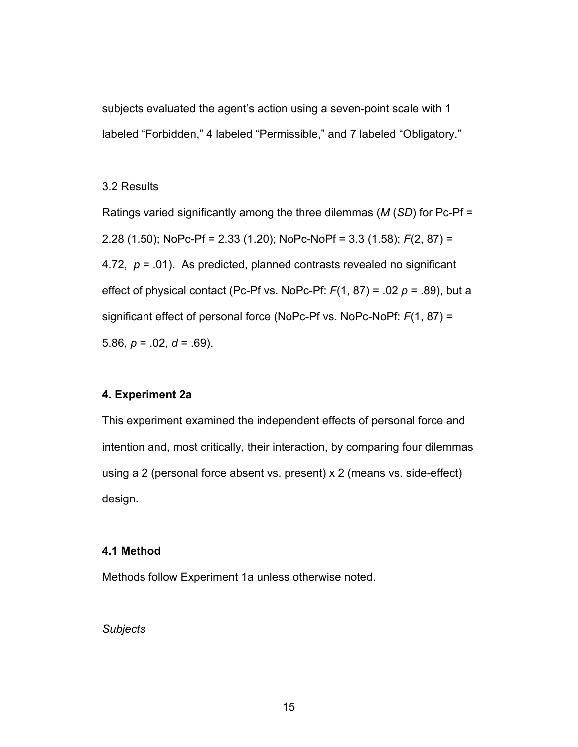subjects evaluated the agent's action using a seven-point scale with 1 labeled "Forbidden," 4 labeled "Permissible," and 7 labeled "Obligatory."

#### 3.2 Results

Ratings varied significantly among the three dilemmas (*M* (*SD*) for Pc-Pf = 2.28 (1.50); NoPc-Pf = 2.33 (1.20); NoPc-NoPf = 3.3 (1.58); *F*(2, 87) = 4.72, *p* = .01). As predicted, planned contrasts revealed no significant effect of physical contact (Pc-Pf vs. NoPc-Pf: *F*(1, 87) = .02 *p* = .89), but a significant effect of personal force (NoPc-Pf vs. NoPc-NoPf: *F*(1, 87) = 5.86,  $p = 0.02$ ,  $d = 0.69$ ).

#### **4. Experiment 2a**

This experiment examined the independent effects of personal force and intention and, most critically, their interaction, by comparing four dilemmas using a 2 (personal force absent vs. present) x 2 (means vs. side-effect) design.

#### **4.1 Method**

Methods follow Experiment 1a unless otherwise noted.

#### *Subjects*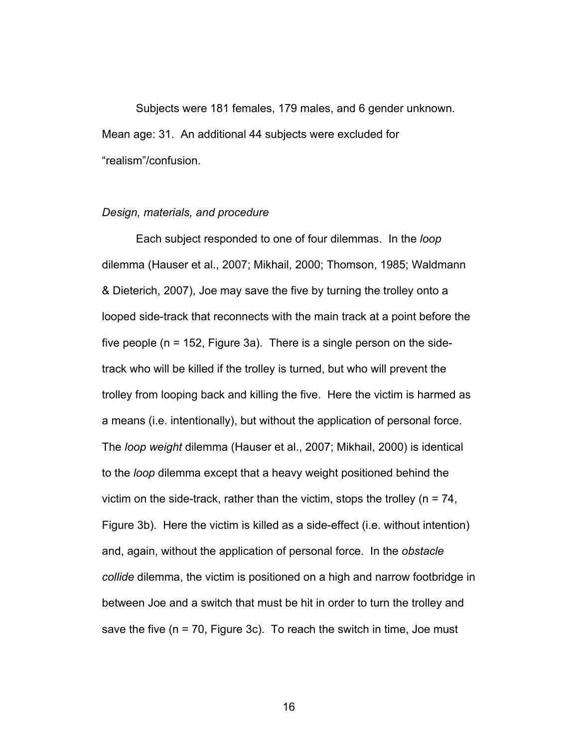Subjects were 181 females, 179 males, and 6 gender unknown. Mean age: 31. An additional 44 subjects were excluded for "realism"/confusion.

#### *Design, materials, and procedure*

Each subject responded to one of four dilemmas. In the *loop* dilemma (Hauser et al., 2007; Mikhail, 2000; Thomson, 1985; Waldmann & Dieterich, 2007), Joe may save the five by turning the trolley onto a looped side-track that reconnects with the main track at a point before the five people ( $n = 152$ , Figure 3a). There is a single person on the sidetrack who will be killed if the trolley is turned, but who will prevent the trolley from looping back and killing the five. Here the victim is harmed as a means (i.e. intentionally), but without the application of personal force. The *loop weight* dilemma (Hauser et al., 2007; Mikhail, 2000) is identical to the *loop* dilemma except that a heavy weight positioned behind the victim on the side-track, rather than the victim, stops the trolley ( $n = 74$ , Figure 3b). Here the victim is killed as a side-effect (i.e. without intention) and, again, without the application of personal force. In the *obstacle collide* dilemma, the victim is positioned on a high and narrow footbridge in between Joe and a switch that must be hit in order to turn the trolley and save the five  $(n = 70, Fiqure 3c)$ . To reach the switch in time, Joe must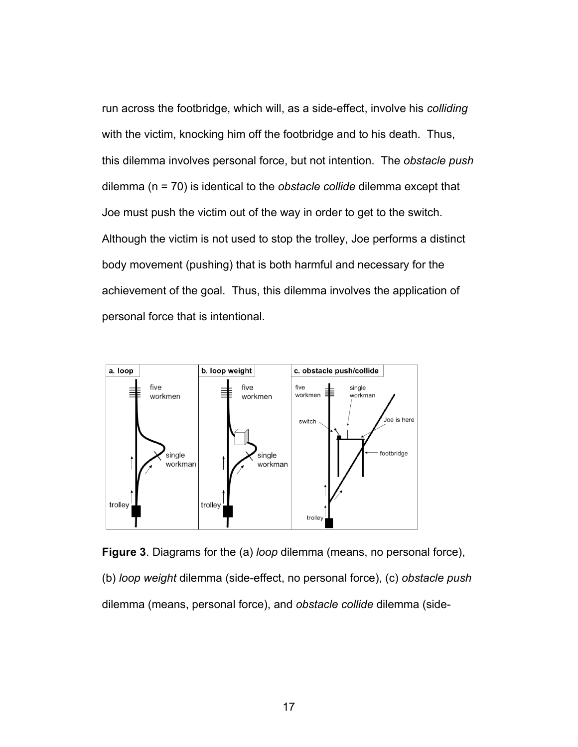run across the footbridge, which will, as a side-effect, involve his *colliding* with the victim, knocking him off the footbridge and to his death. Thus, this dilemma involves personal force, but not intention. The *obstacle push* dilemma (n = 70) is identical to the *obstacle collide* dilemma except that Joe must push the victim out of the way in order to get to the switch. Although the victim is not used to stop the trolley, Joe performs a distinct body movement (pushing) that is both harmful and necessary for the achievement of the goal. Thus, this dilemma involves the application of personal force that is intentional.



**Figure 3**. Diagrams for the (a) *loop* dilemma (means, no personal force), (b) *loop weight* dilemma (side-effect, no personal force), (c) *obstacle push* dilemma (means, personal force), and *obstacle collide* dilemma (side-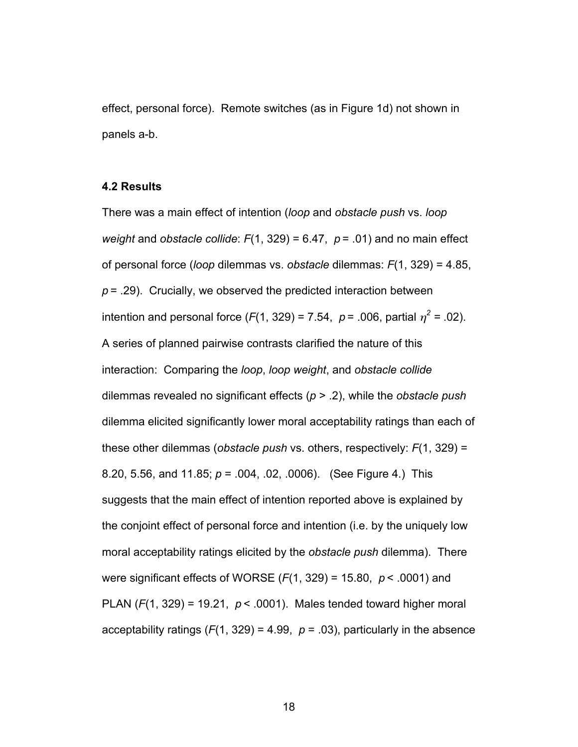effect, personal force). Remote switches (as in Figure 1d) not shown in panels a-b.

#### **4.2 Results**

There was a main effect of intention (*loop* and *obstacle push* vs. *loop weight* and *obstacle collide*:  $F(1, 329) = 6.47$ ,  $p = .01$  and no main effect of personal force (*loop* dilemmas vs. *obstacle* dilemmas: *F*(1, 329) = 4.85,  $p = 0.29$ . Crucially, we observed the predicted interaction between intention and personal force  $(F(1, 329) = 7.54, p = .006$ , partial  $\eta^2 = .02$ ). A series of planned pairwise contrasts clarified the nature of this interaction: Comparing the *loop*, *loop weight*, and *obstacle collide* dilemmas revealed no significant effects (*p* > .2), while the *obstacle push* dilemma elicited significantly lower moral acceptability ratings than each of these other dilemmas (*obstacle push* vs. others, respectively: *F*(1, 329) = 8.20, 5.56, and 11.85; *p* = .004, .02, .0006). (See Figure 4.) This suggests that the main effect of intention reported above is explained by the conjoint effect of personal force and intention (i.e. by the uniquely low moral acceptability ratings elicited by the *obstacle push* dilemma). There were significant effects of WORSE (*F*(1, 329) = 15.80, *p* < .0001) and PLAN (*F*(1, 329) = 19.21, *p* < .0001). Males tended toward higher moral acceptability ratings  $(F(1, 329) = 4.99, p = .03)$ , particularly in the absence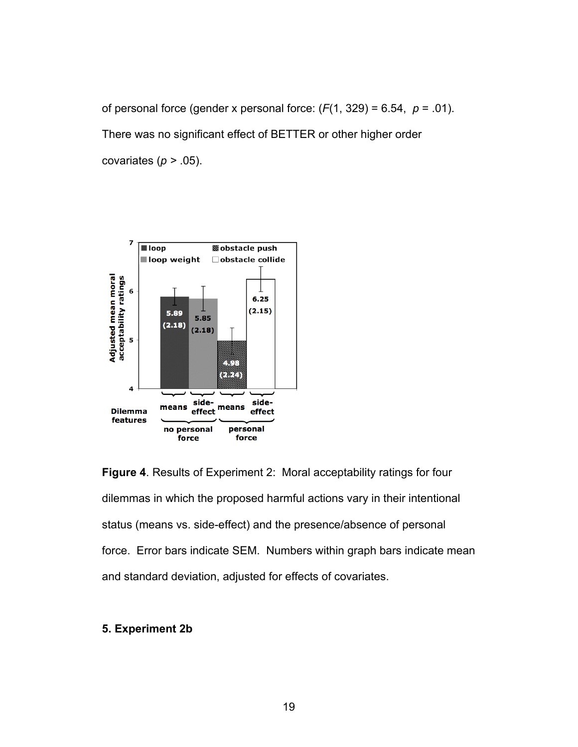of personal force (gender x personal force:  $(F(1, 329) = 6.54, p = .01)$ . There was no significant effect of BETTER or other higher order covariates (*p >* .05).



**Figure 4**. Results of Experiment 2: Moral acceptability ratings for four dilemmas in which the proposed harmful actions vary in their intentional status (means vs. side-effect) and the presence/absence of personal force. Error bars indicate SEM. Numbers within graph bars indicate mean and standard deviation, adjusted for effects of covariates.

#### **5. Experiment 2b**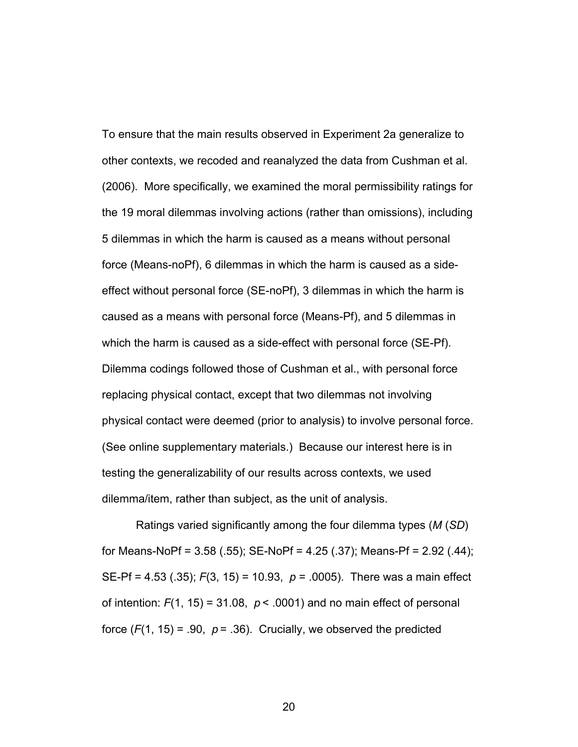To ensure that the main results observed in Experiment 2a generalize to other contexts, we recoded and reanalyzed the data from Cushman et al. (2006). More specifically, we examined the moral permissibility ratings for the 19 moral dilemmas involving actions (rather than omissions), including 5 dilemmas in which the harm is caused as a means without personal force (Means-noPf), 6 dilemmas in which the harm is caused as a sideeffect without personal force (SE-noPf), 3 dilemmas in which the harm is caused as a means with personal force (Means-Pf), and 5 dilemmas in which the harm is caused as a side-effect with personal force (SE-Pf). Dilemma codings followed those of Cushman et al., with personal force replacing physical contact, except that two dilemmas not involving physical contact were deemed (prior to analysis) to involve personal force. (See online supplementary materials.) Because our interest here is in testing the generalizability of our results across contexts, we used dilemma/item, rather than subject, as the unit of analysis.

Ratings varied significantly among the four dilemma types (*M* (*SD*) for Means-NoPf = 3.58 (.55); SE-NoPf = 4.25 (.37); Means-Pf = 2.92 (.44); SE-Pf = 4.53 (.35); *F*(3, 15) = 10.93, *p* = .0005). There was a main effect of intention:  $F(1, 15) = 31.08$ ,  $p < .0001$ ) and no main effect of personal force  $(F(1, 15) = .90, p = .36)$ . Crucially, we observed the predicted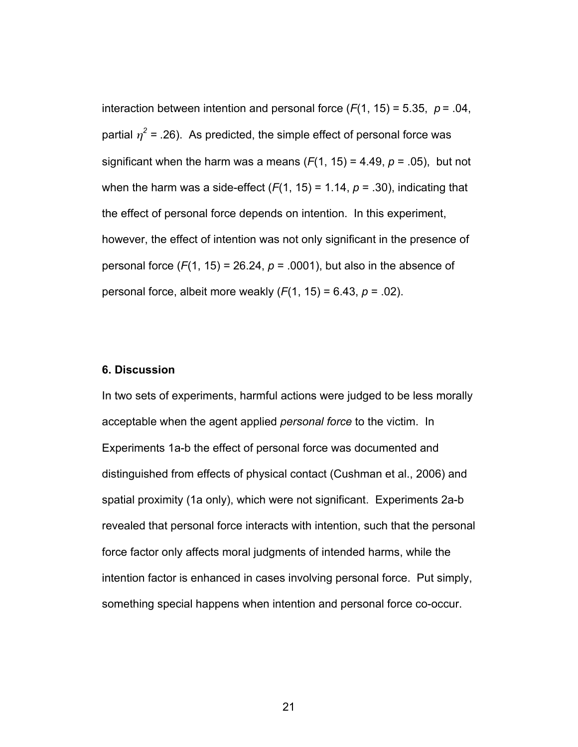interaction between intention and personal force  $(F(1, 15) = 5.35, p = .04,$ partial  $\eta^2$  = .26). As predicted, the simple effect of personal force was significant when the harm was a means  $(F(1, 15) = 4.49, p = .05)$ , but not when the harm was a side-effect  $(F(1, 15) = 1.14, p = .30)$ , indicating that the effect of personal force depends on intention. In this experiment, however, the effect of intention was not only significant in the presence of personal force  $(F(1, 15) = 26.24, p = .0001)$ , but also in the absence of personal force, albeit more weakly (*F*(1, 15) = 6.43, *p* = .02).

#### **6. Discussion**

In two sets of experiments, harmful actions were judged to be less morally acceptable when the agent applied *personal force* to the victim. In Experiments 1a-b the effect of personal force was documented and distinguished from effects of physical contact (Cushman et al., 2006) and spatial proximity (1a only), which were not significant. Experiments 2a-b revealed that personal force interacts with intention, such that the personal force factor only affects moral judgments of intended harms, while the intention factor is enhanced in cases involving personal force. Put simply, something special happens when intention and personal force co-occur.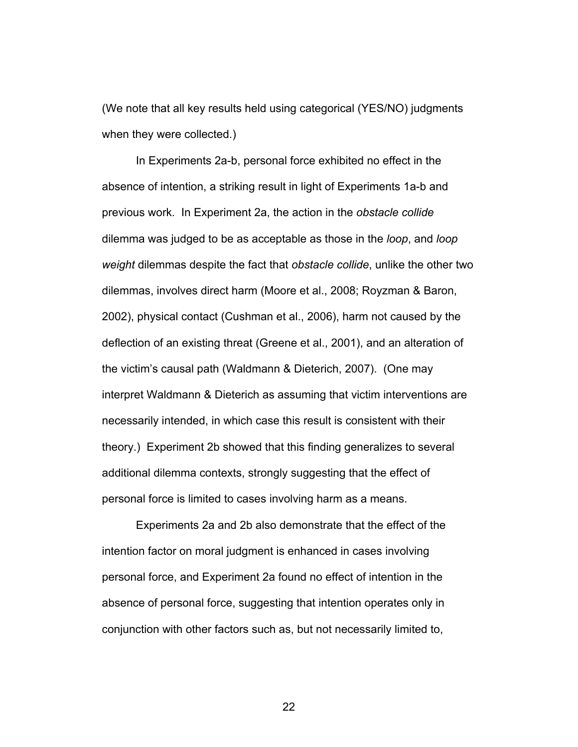(We note that all key results held using categorical (YES/NO) judgments when they were collected.)

In Experiments 2a-b, personal force exhibited no effect in the absence of intention, a striking result in light of Experiments 1a-b and previous work. In Experiment 2a, the action in the *obstacle collide* dilemma was judged to be as acceptable as those in the *loop*, and *loop weight* dilemmas despite the fact that *obstacle collide*, unlike the other two dilemmas, involves direct harm (Moore et al., 2008; Royzman & Baron, 2002), physical contact (Cushman et al., 2006), harm not caused by the deflection of an existing threat (Greene et al., 2001), and an alteration of the victim's causal path (Waldmann & Dieterich, 2007). (One may interpret Waldmann & Dieterich as assuming that victim interventions are necessarily intended, in which case this result is consistent with their theory.) Experiment 2b showed that this finding generalizes to several additional dilemma contexts, strongly suggesting that the effect of personal force is limited to cases involving harm as a means.

Experiments 2a and 2b also demonstrate that the effect of the intention factor on moral judgment is enhanced in cases involving personal force, and Experiment 2a found no effect of intention in the absence of personal force, suggesting that intention operates only in conjunction with other factors such as, but not necessarily limited to,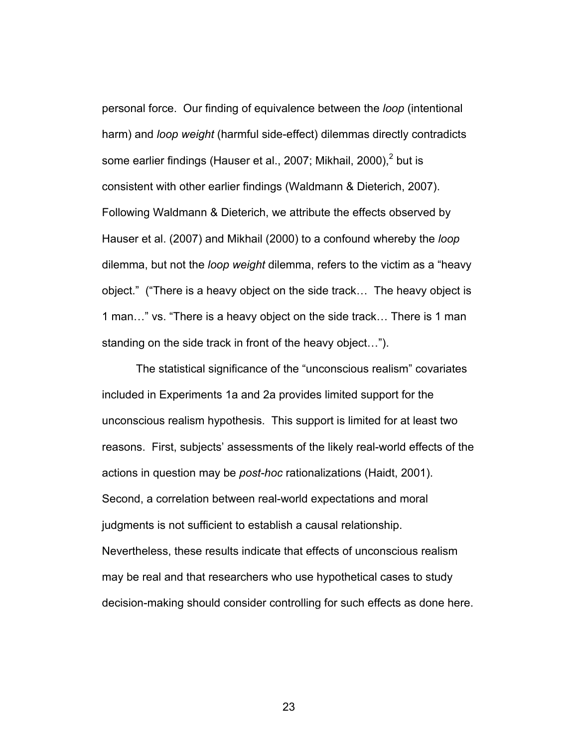personal force. Our finding of equivalence between the *loop* (intentional harm) and *loop weight* (harmful side-effect) dilemmas directly contradicts some earlier findings (Hauser et al., 2007; Mikhail, 2000), $^2$  but is consistent with other earlier findings (Waldmann & Dieterich, 2007). Following Waldmann & Dieterich, we attribute the effects observed by Hauser et al. (2007) and Mikhail (2000) to a confound whereby the *loop* dilemma, but not the *loop weight* dilemma, refers to the victim as a "heavy object." ("There is a heavy object on the side track… The heavy object is 1 man…" vs. "There is a heavy object on the side track… There is 1 man standing on the side track in front of the heavy object…").

The statistical significance of the "unconscious realism" covariates included in Experiments 1a and 2a provides limited support for the unconscious realism hypothesis. This support is limited for at least two reasons. First, subjects' assessments of the likely real-world effects of the actions in question may be *post-hoc* rationalizations (Haidt, 2001). Second, a correlation between real-world expectations and moral judgments is not sufficient to establish a causal relationship. Nevertheless, these results indicate that effects of unconscious realism may be real and that researchers who use hypothetical cases to study decision-making should consider controlling for such effects as done here.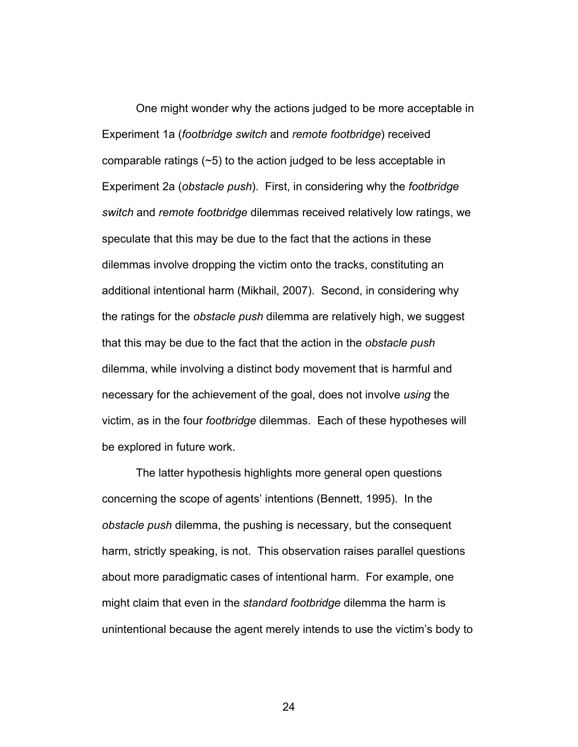One might wonder why the actions judged to be more acceptable in Experiment 1a (*footbridge switch* and *remote footbridge*) received comparable ratings (~5) to the action judged to be less acceptable in Experiment 2a (*obstacle push*). First, in considering why the *footbridge switch* and *remote footbridge* dilemmas received relatively low ratings, we speculate that this may be due to the fact that the actions in these dilemmas involve dropping the victim onto the tracks, constituting an additional intentional harm (Mikhail, 2007). Second, in considering why the ratings for the *obstacle push* dilemma are relatively high, we suggest that this may be due to the fact that the action in the *obstacle push* dilemma, while involving a distinct body movement that is harmful and necessary for the achievement of the goal, does not involve *using* the victim, as in the four *footbridge* dilemmas. Each of these hypotheses will be explored in future work.

The latter hypothesis highlights more general open questions concerning the scope of agents' intentions (Bennett, 1995). In the *obstacle push* dilemma, the pushing is necessary, but the consequent harm, strictly speaking, is not. This observation raises parallel questions about more paradigmatic cases of intentional harm. For example, one might claim that even in the *standard footbridge* dilemma the harm is unintentional because the agent merely intends to use the victim's body to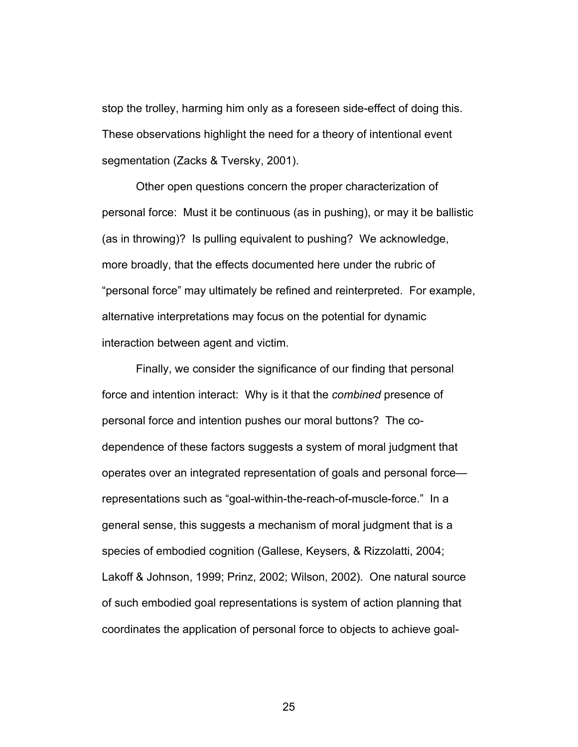stop the trolley, harming him only as a foreseen side-effect of doing this. These observations highlight the need for a theory of intentional event segmentation (Zacks & Tversky, 2001).

Other open questions concern the proper characterization of personal force: Must it be continuous (as in pushing), or may it be ballistic (as in throwing)? Is pulling equivalent to pushing? We acknowledge, more broadly, that the effects documented here under the rubric of "personal force" may ultimately be refined and reinterpreted. For example, alternative interpretations may focus on the potential for dynamic interaction between agent and victim.

Finally, we consider the significance of our finding that personal force and intention interact: Why is it that the *combined* presence of personal force and intention pushes our moral buttons? The codependence of these factors suggests a system of moral judgment that operates over an integrated representation of goals and personal force representations such as "goal-within-the-reach-of-muscle-force." In a general sense, this suggests a mechanism of moral judgment that is a species of embodied cognition (Gallese, Keysers, & Rizzolatti, 2004; Lakoff & Johnson, 1999; Prinz, 2002; Wilson, 2002). One natural source of such embodied goal representations is system of action planning that coordinates the application of personal force to objects to achieve goal-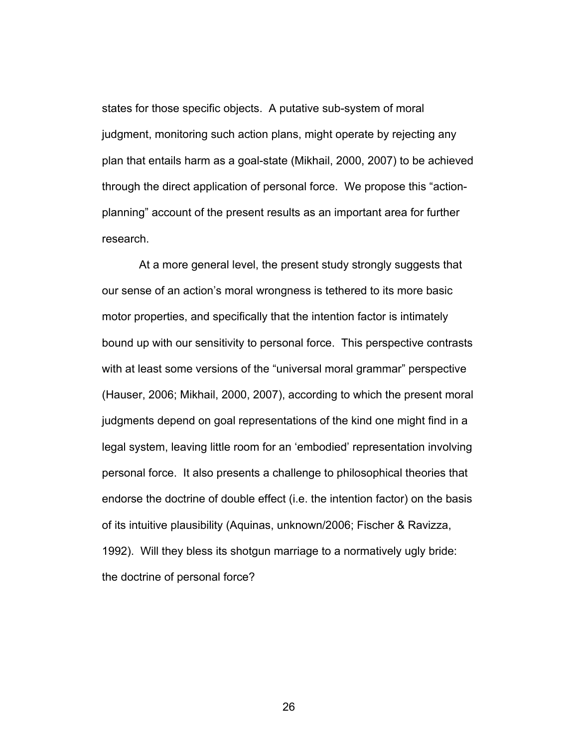states for those specific objects. A putative sub-system of moral judgment, monitoring such action plans, might operate by rejecting any plan that entails harm as a goal-state (Mikhail, 2000, 2007) to be achieved through the direct application of personal force. We propose this "actionplanning" account of the present results as an important area for further research.

 At a more general level, the present study strongly suggests that our sense of an action's moral wrongness is tethered to its more basic motor properties, and specifically that the intention factor is intimately bound up with our sensitivity to personal force. This perspective contrasts with at least some versions of the "universal moral grammar" perspective (Hauser, 2006; Mikhail, 2000, 2007), according to which the present moral judgments depend on goal representations of the kind one might find in a legal system, leaving little room for an 'embodied' representation involving personal force. It also presents a challenge to philosophical theories that endorse the doctrine of double effect (i.e. the intention factor) on the basis of its intuitive plausibility (Aquinas, unknown/2006; Fischer & Ravizza, 1992). Will they bless its shotgun marriage to a normatively ugly bride: the doctrine of personal force?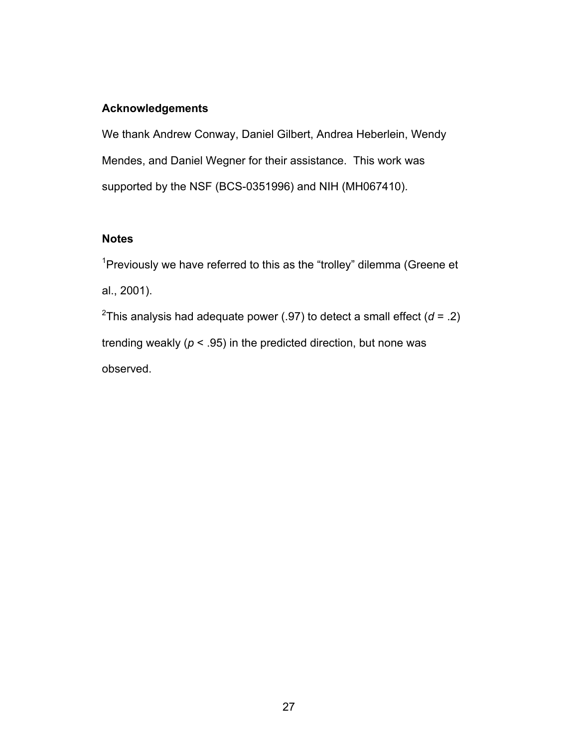#### **Acknowledgements**

We thank Andrew Conway, Daniel Gilbert, Andrea Heberlein, Wendy Mendes, and Daniel Wegner for their assistance. This work was supported by the NSF (BCS-0351996) and NIH (MH067410).

#### **Notes**

<sup>1</sup>Previously we have referred to this as the "trolley" dilemma (Greene et al., 2001). <sup>2</sup>This analysis had adequate power (.97) to detect a small effect ( $d = 0.2$ ) trending weakly ( $p < .95$ ) in the predicted direction, but none was

observed.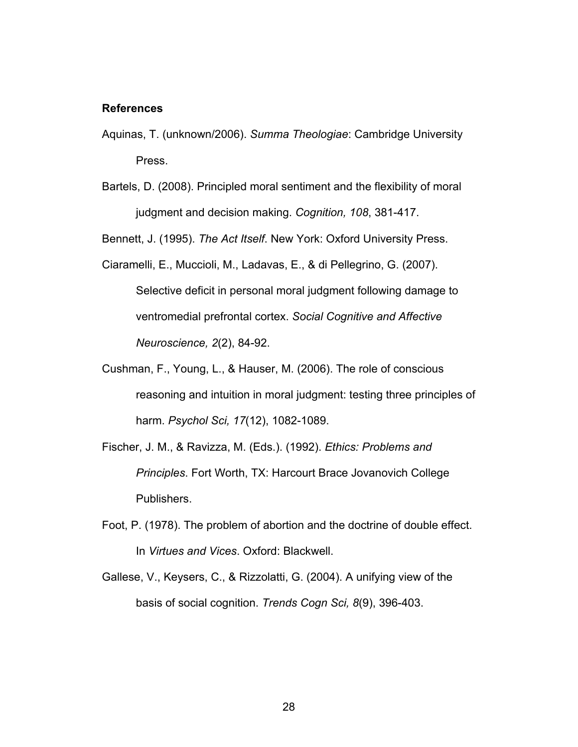#### **References**

- Aquinas, T. (unknown/2006). *Summa Theologiae*: Cambridge University Press.
- Bartels, D. (2008). Principled moral sentiment and the flexibility of moral judgment and decision making. *Cognition, 108*, 381-417.

Bennett, J. (1995). *The Act Itself*. New York: Oxford University Press.

- Ciaramelli, E., Muccioli, M., Ladavas, E., & di Pellegrino, G. (2007). Selective deficit in personal moral judgment following damage to ventromedial prefrontal cortex. *Social Cognitive and Affective Neuroscience, 2*(2), 84-92.
- Cushman, F., Young, L., & Hauser, M. (2006). The role of conscious reasoning and intuition in moral judgment: testing three principles of harm. *Psychol Sci, 17*(12), 1082-1089.
- Fischer, J. M., & Ravizza, M. (Eds.). (1992). *Ethics: Problems and Principles*. Fort Worth, TX: Harcourt Brace Jovanovich College Publishers.
- Foot, P. (1978). The problem of abortion and the doctrine of double effect. In *Virtues and Vices*. Oxford: Blackwell.
- Gallese, V., Keysers, C., & Rizzolatti, G. (2004). A unifying view of the basis of social cognition. *Trends Cogn Sci, 8*(9), 396-403.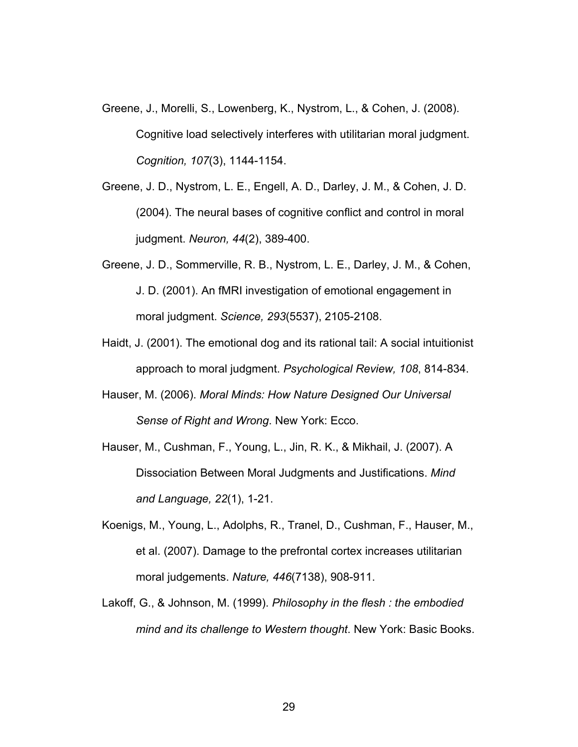- Greene, J., Morelli, S., Lowenberg, K., Nystrom, L., & Cohen, J. (2008). Cognitive load selectively interferes with utilitarian moral judgment. *Cognition, 107*(3), 1144-1154.
- Greene, J. D., Nystrom, L. E., Engell, A. D., Darley, J. M., & Cohen, J. D. (2004). The neural bases of cognitive conflict and control in moral judgment. *Neuron, 44*(2), 389-400.
- Greene, J. D., Sommerville, R. B., Nystrom, L. E., Darley, J. M., & Cohen, J. D. (2001). An fMRI investigation of emotional engagement in moral judgment. *Science, 293*(5537), 2105-2108.
- Haidt, J. (2001). The emotional dog and its rational tail: A social intuitionist approach to moral judgment. *Psychological Review, 108*, 814-834.
- Hauser, M. (2006). *Moral Minds: How Nature Designed Our Universal Sense of Right and Wrong*. New York: Ecco.
- Hauser, M., Cushman, F., Young, L., Jin, R. K., & Mikhail, J. (2007). A Dissociation Between Moral Judgments and Justifications. *Mind and Language, 22*(1), 1-21.
- Koenigs, M., Young, L., Adolphs, R., Tranel, D., Cushman, F., Hauser, M., et al. (2007). Damage to the prefrontal cortex increases utilitarian moral judgements. *Nature, 446*(7138), 908-911.
- Lakoff, G., & Johnson, M. (1999). *Philosophy in the flesh : the embodied mind and its challenge to Western thought*. New York: Basic Books.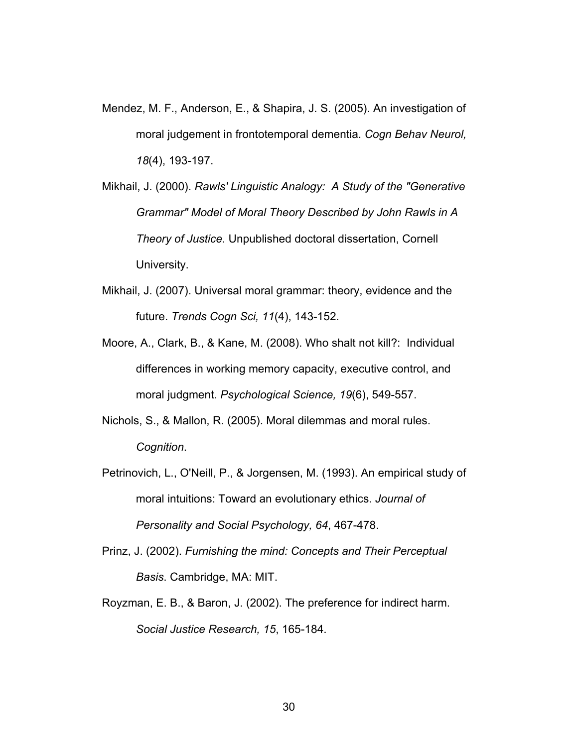- Mendez, M. F., Anderson, E., & Shapira, J. S. (2005). An investigation of moral judgement in frontotemporal dementia. *Cogn Behav Neurol, 18*(4), 193-197.
- Mikhail, J. (2000). *Rawls' Linguistic Analogy: A Study of the "Generative Grammar" Model of Moral Theory Described by John Rawls in A Theory of Justice.* Unpublished doctoral dissertation, Cornell University.
- Mikhail, J. (2007). Universal moral grammar: theory, evidence and the future. *Trends Cogn Sci, 11*(4), 143-152.
- Moore, A., Clark, B., & Kane, M. (2008). Who shalt not kill?: Individual differences in working memory capacity, executive control, and moral judgment. *Psychological Science, 19*(6), 549-557.
- Nichols, S., & Mallon, R. (2005). Moral dilemmas and moral rules. *Cognition*.
- Petrinovich, L., O'Neill, P., & Jorgensen, M. (1993). An empirical study of moral intuitions: Toward an evolutionary ethics. *Journal of Personality and Social Psychology, 64*, 467-478.
- Prinz, J. (2002). *Furnishing the mind: Concepts and Their Perceptual Basis*. Cambridge, MA: MIT.
- Royzman, E. B., & Baron, J. (2002). The preference for indirect harm. *Social Justice Research, 15*, 165-184.